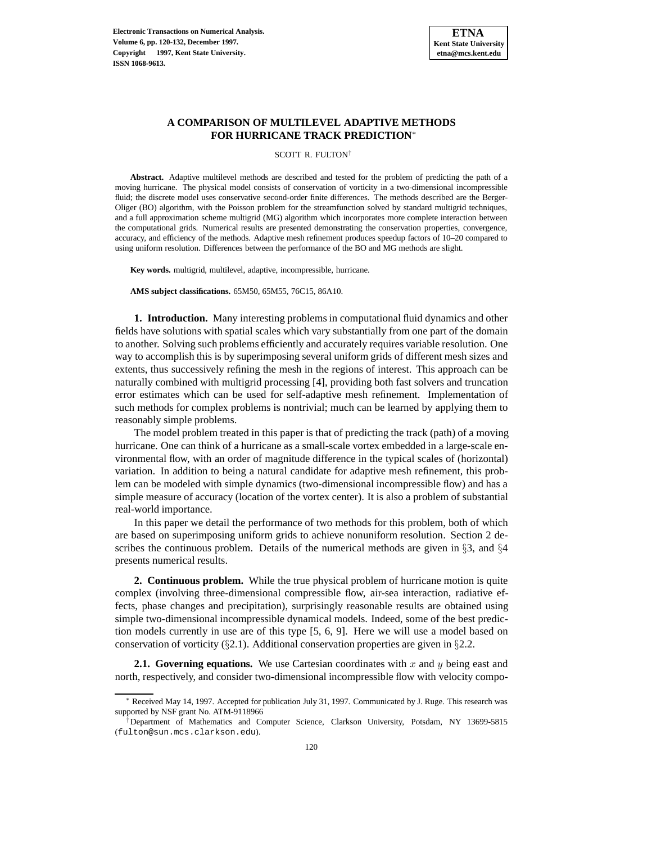

# **A COMPARISON OF MULTILEVEL ADAPTIVE METHODS FOR HURRICANE TRACK PREDICTION**<sup>∗</sup>

SCOTT R. FULTON†

**Abstract.** Adaptive multilevel methods are described and tested for the problem of predicting the path of a moving hurricane. The physical model consists of conservation of vorticity in a two-dimensional incompressible fluid; the discrete model uses conservative second-order finite differences. The methods described are the Berger-Oliger (BO) algorithm, with the Poisson problem for the streamfunction solved by standard multigrid techniques, and a full approximation scheme multigrid (MG) algorithm which incorporates more complete interaction between the computational grids. Numerical results are presented demonstrating the conservation properties, convergence, accuracy, and efficiency of the methods. Adaptive mesh refinement produces speedup factors of 10–20 compared to using uniform resolution. Differences between the performance of the BO and MG methods are slight.

**Key words.** multigrid, multilevel, adaptive, incompressible, hurricane.

**AMS subject classifications.** 65M50, 65M55, 76C15, 86A10.

**1. Introduction.** Many interesting problems in computational fluid dynamics and other fields have solutions with spatial scales which vary substantially from one part of the domain to another. Solving such problems efficiently and accurately requires variable resolution. One way to accomplish this is by superimposing several uniform grids of different mesh sizes and extents, thus successively refining the mesh in the regions of interest. This approach can be naturally combined with multigrid processing [4], providing both fast solvers and truncation error estimates which can be used for self-adaptive mesh refinement. Implementation of such methods for complex problems is nontrivial; much can be learned by applying them to reasonably simple problems.

The model problem treated in this paper is that of predicting the track (path) of a moving hurricane. One can think of a hurricane as a small-scale vortex embedded in a large-scale environmental flow, with an order of magnitude difference in the typical scales of (horizontal) variation. In addition to being a natural candidate for adaptive mesh refinement, this problem can be modeled with simple dynamics (two-dimensional incompressible flow) and has a simple measure of accuracy (location of the vortex center). It is also a problem of substantial real-world importance.

In this paper we detail the performance of two methods for this problem, both of which are based on superimposing uniform grids to achieve nonuniform resolution. Section 2 describes the continuous problem. Details of the numerical methods are given in §3, and §4 presents numerical results.

**2. Continuous problem.** While the true physical problem of hurricane motion is quite complex (involving three-dimensional compressible flow, air-sea interaction, radiative effects, phase changes and precipitation), surprisingly reasonable results are obtained using simple two-dimensional incompressible dynamical models. Indeed, some of the best prediction models currently in use are of this type [5, 6, 9]. Here we will use a model based on conservation of vorticity (§2.1). Additional conservation properties are given in §2.2.

**2.1. Governing equations.** We use Cartesian coordinates with  $x$  and  $y$  being east and north, respectively, and consider two-dimensional incompressible flow with velocity compo-

<sup>∗</sup> Received May 14, 1997. Accepted for publication July 31, 1997. Communicated by J. Ruge. This research was supported by NSF grant No. ATM-9118966

<sup>†</sup>Department of Mathematics and Computer Science, Clarkson University, Potsdam, NY 13699-5815 (fulton@sun.mcs.clarkson.edu).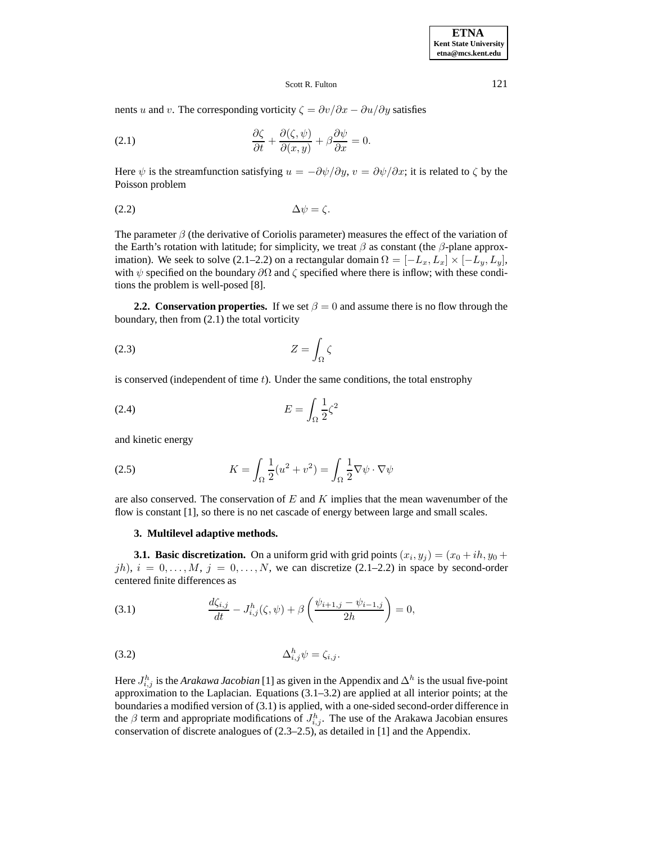### Scott R. Fulton 121

nents u and v. The corresponding vorticity  $\zeta = \frac{\partial v}{\partial x} - \frac{\partial u}{\partial y}$  satisfies

(2.1) 
$$
\frac{\partial \zeta}{\partial t} + \frac{\partial (\zeta, \psi)}{\partial (x, y)} + \beta \frac{\partial \psi}{\partial x} = 0.
$$

Here  $\psi$  is the streamfunction satisfying  $u = -\partial \psi / \partial y$ ,  $v = \partial \psi / \partial x$ ; it is related to  $\zeta$  by the Poisson problem

$$
\Delta \psi = \zeta.
$$

The parameter  $\beta$  (the derivative of Coriolis parameter) measures the effect of the variation of the Earth's rotation with latitude; for simplicity, we treat  $\beta$  as constant (the  $\beta$ -plane approximation). We seek to solve (2.1–2.2) on a rectangular domain  $\Omega = [-L_x, L_x] \times [-L_y, L_y]$ , with  $\psi$  specified on the boundary  $\partial\Omega$  and  $\zeta$  specified where there is inflow; with these conditions the problem is well-posed [8].

**2.2. Conservation properties.** If we set  $\beta = 0$  and assume there is no flow through the boundary, then from (2.1) the total vorticity

$$
(2.3) \t\t Z = \int_{\Omega} \zeta
$$

is conserved (independent of time  $t$ ). Under the same conditions, the total enstrophy

$$
(2.4) \t\t\t E = \int_{\Omega} \frac{1}{2} \zeta^2
$$

and kinetic energy

(2.5) 
$$
K = \int_{\Omega} \frac{1}{2} (u^2 + v^2) = \int_{\Omega} \frac{1}{2} \nabla \psi \cdot \nabla \psi
$$

are also conserved. The conservation of  $E$  and  $K$  implies that the mean wavenumber of the flow is constant [1], so there is no net cascade of energy between large and small scales.

## **3. Multilevel adaptive methods.**

**3.1. Basic discretization.** On a uniform grid with grid points  $(x_i, y_j) = (x_0 + ih, y_0 + h)$ jh),  $i = 0, \ldots, M$ ,  $j = 0, \ldots, N$ , we can discretize (2.1–2.2) in space by second-order centered finite differences as

(3.1) 
$$
\frac{d\zeta_{i,j}}{dt} - J_{i,j}^h(\zeta, \psi) + \beta \left( \frac{\psi_{i+1,j} - \psi_{i-1,j}}{2h} \right) = 0,
$$

$$
\Delta_{i,j}^h \psi = \zeta_{i,j}.
$$

Here  $J_{i,j}^h$  is the *Arakawa Jacobian* [1] as given in the Appendix and  $\Delta^h$  is the usual five-point approximation to the Laplacian. Equations  $(3.1–3.2)$  are applied at all interior points; at the boundaries a modified version of (3.1) is applied, with a one-sided second-order difference in the  $\beta$  term and appropriate modifications of  $J_{i,j}^h$ . The use of the Arakawa Jacobian ensures conservation of discrete analogues of (2.3–2.5), as detailed in [1] and the Appendix.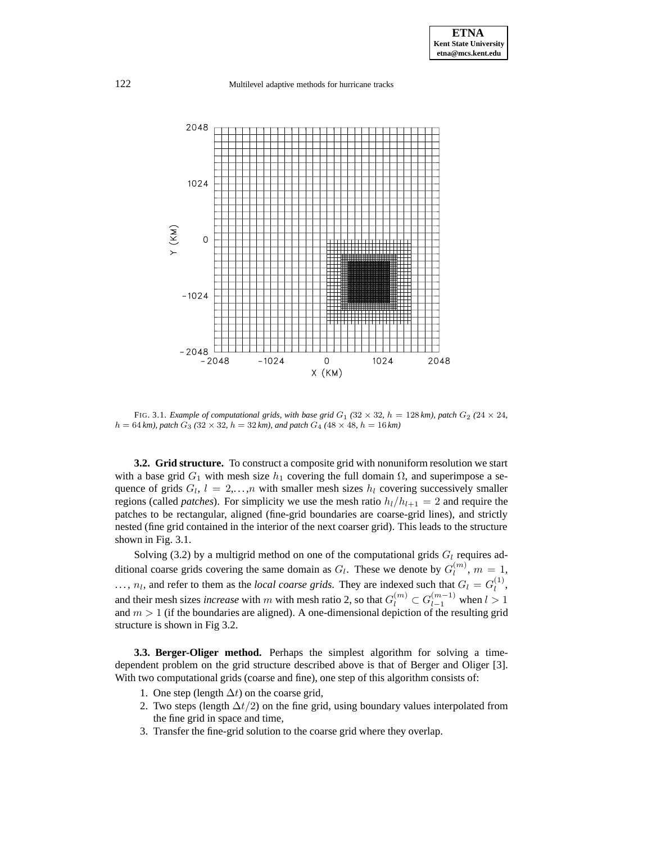

FIG. 3.1. *Example of computational grids, with base grid*  $G_1$  (32  $\times$  32*, h* = 128 *km), patch*  $G_2$  (24  $\times$  24*,*  $h = 64$  km), patch  $G_3$  (32 × 32, h = 32 km), and patch  $G_4$  (48 × 48, h = 16 km)

**3.2. Grid structure.** To construct a composite grid with nonuniform resolution we start with a base grid  $G_1$  with mesh size  $h_1$  covering the full domain  $\Omega$ , and superimpose a sequence of grids  $G_l$ ,  $l = 2,...,n$  with smaller mesh sizes  $h_l$  covering successively smaller regions (called *patches*). For simplicity we use the mesh ratio  $h_l/h_{l+1} = 2$  and require the patches to be rectangular, aligned (fine-grid boundaries are coarse-grid lines), and strictly nested (fine grid contained in the interior of the next coarser grid). This leads to the structure shown in Fig. 3.1.

Solving (3.2) by a multigrid method on one of the computational grids  $G_l$  requires additional coarse grids covering the same domain as  $G_l$ . These we denote by  $G_l^{(m)}$ ,  $m = 1$ ,  $\ldots$ ,  $n_l$ , and refer to them as the *local coarse grids*. They are indexed such that  $G_l = G_l^{(1)}$ , and their mesh sizes *increase* with m with mesh ratio 2, so that  $G_l^{(m)} \subset G_{l-1}^{(m-1)}$  when  $l > 1$ and  $m > 1$  (if the boundaries are aligned). A one-dimensional depiction of the resulting grid structure is shown in Fig 3.2.

**3.3. Berger-Oliger method.** Perhaps the simplest algorithm for solving a timedependent problem on the grid structure described above is that of Berger and Oliger [3]. With two computational grids (coarse and fine), one step of this algorithm consists of:

- 1. One step (length  $\Delta t$ ) on the coarse grid,
- 2. Two steps (length  $\Delta t/2$ ) on the fine grid, using boundary values interpolated from the fine grid in space and time,
- 3. Transfer the fine-grid solution to the coarse grid where they overlap.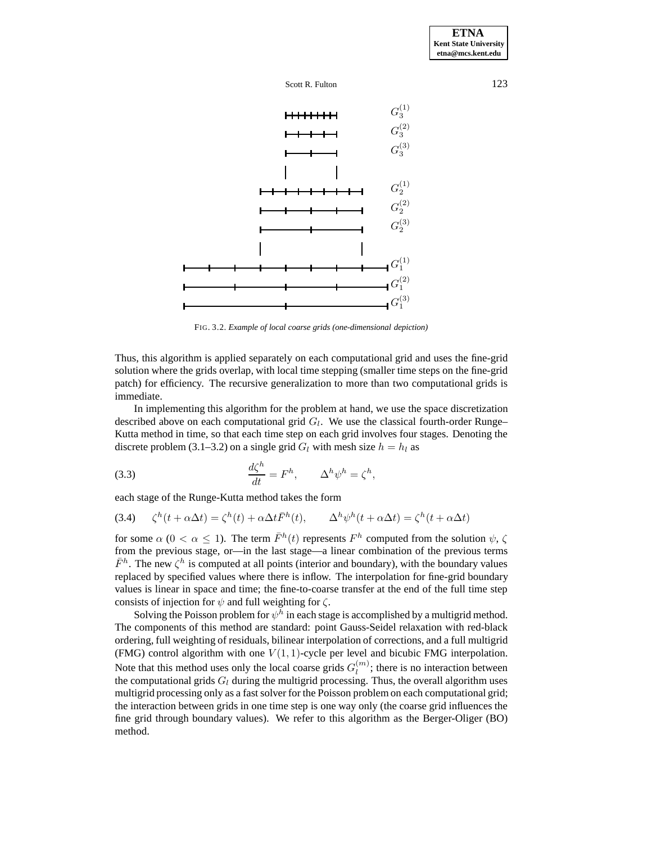





FIG. 3.2. *Example of local coarse grids (one-dimensional depiction)*

Thus, this algorithm is applied separately on each computational grid and uses the fine-grid solution where the grids overlap, with local time stepping (smaller time steps on the fine-grid patch) for efficiency. The recursive generalization to more than two computational grids is immediate.

In implementing this algorithm for the problem at hand, we use the space discretization described above on each computational grid  $G_l$ . We use the classical fourth-order Runge– Kutta method in time, so that each time step on each grid involves four stages. Denoting the discrete problem (3.1–3.2) on a single grid  $G_l$  with mesh size  $h = h_l$  as

(3.3) 
$$
\frac{d\zeta^h}{dt} = F^h, \qquad \Delta^h \psi^h = \zeta^h,
$$

each stage of the Runge-Kutta method takes the form

(3.4) 
$$
\zeta^h(t + \alpha \Delta t) = \zeta^h(t) + \alpha \Delta t \bar{F}^h(t), \qquad \Delta^h \psi^h(t + \alpha \Delta t) = \zeta^h(t + \alpha \Delta t)
$$

for some  $\alpha$  ( $0 < \alpha \leq 1$ ). The term  $\bar{F}^h(t)$  represents  $F^h$  computed from the solution  $\psi$ ,  $\zeta$ from the previous stage, or—in the last stage—a linear combination of the previous terms  $\bar{F}^h$ . The new  $\zeta^h$  is computed at all points (interior and boundary), with the boundary values replaced by specified values where there is inflow. The interpolation for fine-grid boundary values is linear in space and time; the fine-to-coarse transfer at the end of the full time step consists of injection for  $\psi$  and full weighting for  $\zeta$ .

Solving the Poisson problem for  $\psi^h$  in each stage is accomplished by a multigrid method. The components of this method are standard: point Gauss-Seidel relaxation with red-black ordering, full weighting of residuals, bilinear interpolation of corrections, and a full multigrid (FMG) control algorithm with one  $V(1,1)$ -cycle per level and bicubic FMG interpolation. Note that this method uses only the local coarse grids  $G_l^{(m)}$ ; there is no interaction between the computational grids  $G_l$  during the multigrid processing. Thus, the overall algorithm uses multigrid processing only as a fast solver for the Poisson problem on each computational grid; the interaction between grids in one time step is one way only (the coarse grid influences the fine grid through boundary values). We refer to this algorithm as the Berger-Oliger (BO) method.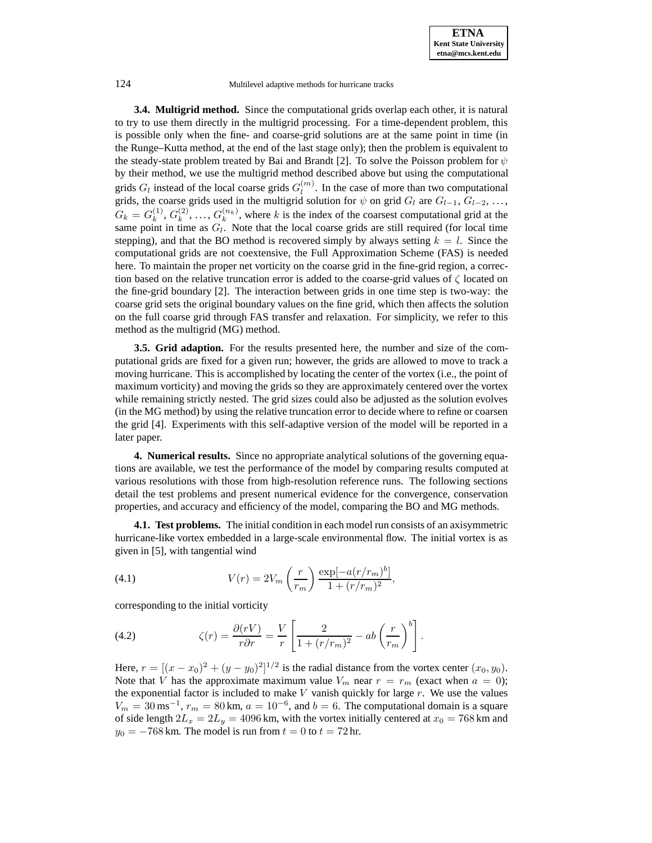**3.4. Multigrid method.** Since the computational grids overlap each other, it is natural to try to use them directly in the multigrid processing. For a time-dependent problem, this is possible only when the fine- and coarse-grid solutions are at the same point in time (in the Runge–Kutta method, at the end of the last stage only); then the problem is equivalent to the steady-state problem treated by Bai and Brandt [2]. To solve the Poisson problem for  $\psi$ by their method, we use the multigrid method described above but using the computational grids  $G_l$  instead of the local coarse grids  $G_l^{(m)}$ . In the case of more than two computational grids, the coarse grids used in the multigrid solution for  $\psi$  on grid  $G_l$  are  $G_{l-1}, G_{l-2}, \ldots$ ,  $G_k = G_k^{(1)}, G_k^{(2)}, \ldots, G_k^{(n_k)}$ , where k is the index of the coarsest computational grid at the same point in time as  $G_l$ . Note that the local coarse grids are still required (for local time stepping), and that the BO method is recovered simply by always setting  $k = l$ . Since the computational grids are not coextensive, the Full Approximation Scheme (FAS) is needed here. To maintain the proper net vorticity on the coarse grid in the fine-grid region, a correction based on the relative truncation error is added to the coarse-grid values of  $\zeta$  located on the fine-grid boundary [2]. The interaction between grids in one time step is two-way: the coarse grid sets the original boundary values on the fine grid, which then affects the solution on the full coarse grid through FAS transfer and relaxation. For simplicity, we refer to this method as the multigrid (MG) method.

**3.5. Grid adaption.** For the results presented here, the number and size of the computational grids are fixed for a given run; however, the grids are allowed to move to track a moving hurricane. This is accomplished by locating the center of the vortex (i.e., the point of maximum vorticity) and moving the grids so they are approximately centered over the vortex while remaining strictly nested. The grid sizes could also be adjusted as the solution evolves (in the MG method) by using the relative truncation error to decide where to refine or coarsen the grid [4]. Experiments with this self-adaptive version of the model will be reported in a later paper.

**4. Numerical results.** Since no appropriate analytical solutions of the governing equations are available, we test the performance of the model by comparing results computed at various resolutions with those from high-resolution reference runs. The following sections detail the test problems and present numerical evidence for the convergence, conservation properties, and accuracy and efficiency of the model, comparing the BO and MG methods.

**4.1. Test problems.** The initial condition in each model run consists of an axisymmetric hurricane-like vortex embedded in a large-scale environmental flow. The initial vortex is as given in [5], with tangential wind

(4.1) 
$$
V(r) = 2V_m \left(\frac{r}{r_m}\right) \frac{\exp[-a(r/r_m)^b]}{1 + (r/r_m)^2},
$$

corresponding to the initial vorticity

(4.2) 
$$
\zeta(r) = \frac{\partial(rV)}{r\partial r} = \frac{V}{r} \left[ \frac{2}{1 + (r/r_m)^2} - ab \left( \frac{r}{r_m} \right)^b \right].
$$

Here,  $r = [(x - x_0)^2 + (y - y_0)^2]^{1/2}$  is the radial distance from the vortex center  $(x_0, y_0)$ . Note that V has the approximate maximum value  $V_m$  near  $r = r_m$  (exact when  $a = 0$ ); the exponential factor is included to make  $V$  vanish quickly for large  $r$ . We use the values  $V_m = 30 \,\text{ms}^{-1}$ ,  $r_m = 80 \,\text{km}$ ,  $a = 10^{-6}$ , and  $b = 6$ . The computational domain is a square of side length  $2L_x = 2L_y = 4096$  km, with the vortex initially centered at  $x_0 = 768$  km and  $y_0 = -768$  km. The model is run from  $t = 0$  to  $t = 72$  hr.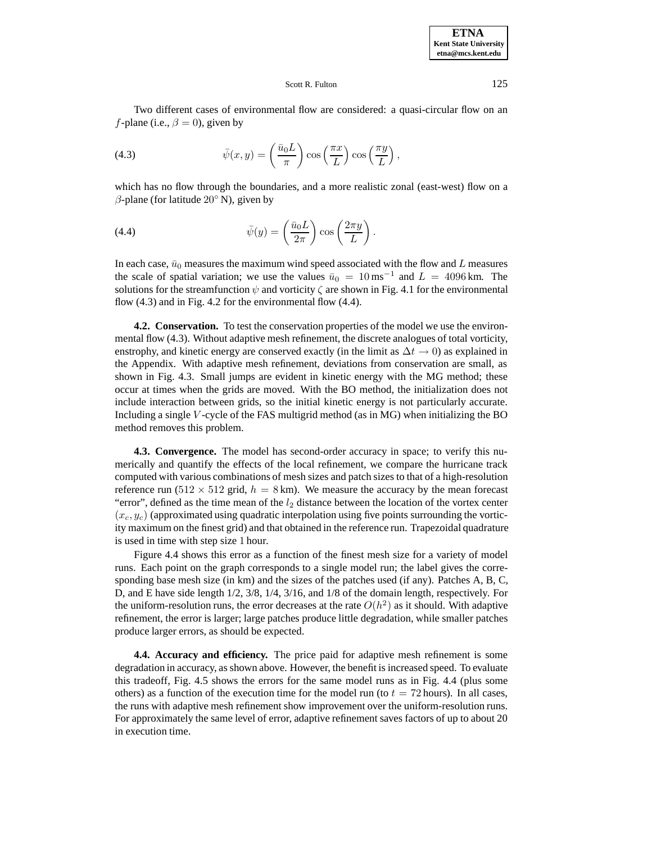### Scott R. Fulton 125

Two different cases of environmental flow are considered: a quasi-circular flow on an *f*-plane (i.e.,  $\beta = 0$ ), given by

(4.3) 
$$
\bar{\psi}(x,y) = \left(\frac{\bar{u}_0 L}{\pi}\right) \cos\left(\frac{\pi x}{L}\right) \cos\left(\frac{\pi y}{L}\right),
$$

which has no flow through the boundaries, and a more realistic zonal (east-west) flow on a  $\beta$ -plane (for latitude 20 $\degree$  N), given by

(4.4) 
$$
\bar{\psi}(y) = \left(\frac{\bar{u}_0 L}{2\pi}\right) \cos\left(\frac{2\pi y}{L}\right).
$$

In each case,  $\bar{u}_0$  measures the maximum wind speed associated with the flow and L measures the scale of spatial variation; we use the values  $\bar{u}_0 = 10 \,\text{ms}^{-1}$  and  $L = 4096 \,\text{km}$ . The solutions for the streamfunction  $\psi$  and vorticity  $\zeta$  are shown in Fig. 4.1 for the environmental flow (4.3) and in Fig. 4.2 for the environmental flow (4.4).

**4.2. Conservation.** To test the conservation properties of the model we use the environmental flow (4.3). Without adaptive mesh refinement, the discrete analogues of total vorticity, enstrophy, and kinetic energy are conserved exactly (in the limit as  $\Delta t \rightarrow 0$ ) as explained in the Appendix. With adaptive mesh refinement, deviations from conservation are small, as shown in Fig. 4.3. Small jumps are evident in kinetic energy with the MG method; these occur at times when the grids are moved. With the BO method, the initialization does not include interaction between grids, so the initial kinetic energy is not particularly accurate. Including a single  $V$ -cycle of the FAS multigrid method (as in MG) when initializing the BO method removes this problem.

**4.3. Convergence.** The model has second-order accuracy in space; to verify this numerically and quantify the effects of the local refinement, we compare the hurricane track computed with various combinations of mesh sizes and patch sizes to that of a high-resolution reference run (512  $\times$  512 grid,  $h = 8$  km). We measure the accuracy by the mean forecast "error", defined as the time mean of the  $l_2$  distance between the location of the vortex center  $(x_c, y_c)$  (approximated using quadratic interpolation using five points surrounding the vorticity maximum on the finest grid) and that obtained in the reference run. Trapezoidal quadrature is used in time with step size 1 hour.

Figure 4.4 shows this error as a function of the finest mesh size for a variety of model runs. Each point on the graph corresponds to a single model run; the label gives the corresponding base mesh size (in km) and the sizes of the patches used (if any). Patches A, B, C, D, and E have side length 1/2, 3/8, 1/4, 3/16, and 1/8 of the domain length, respectively. For the uniform-resolution runs, the error decreases at the rate  $O(h^2)$  as it should. With adaptive refinement, the error is larger; large patches produce little degradation, while smaller patches produce larger errors, as should be expected.

**4.4. Accuracy and efficiency.** The price paid for adaptive mesh refinement is some degradation in accuracy, as shown above. However, the benefit is increased speed. To evaluate this tradeoff, Fig. 4.5 shows the errors for the same model runs as in Fig. 4.4 (plus some others) as a function of the execution time for the model run (to  $t = 72$  hours). In all cases, the runs with adaptive mesh refinement show improvement over the uniform-resolution runs. For approximately the same level of error, adaptive refinement saves factors of up to about 20 in execution time.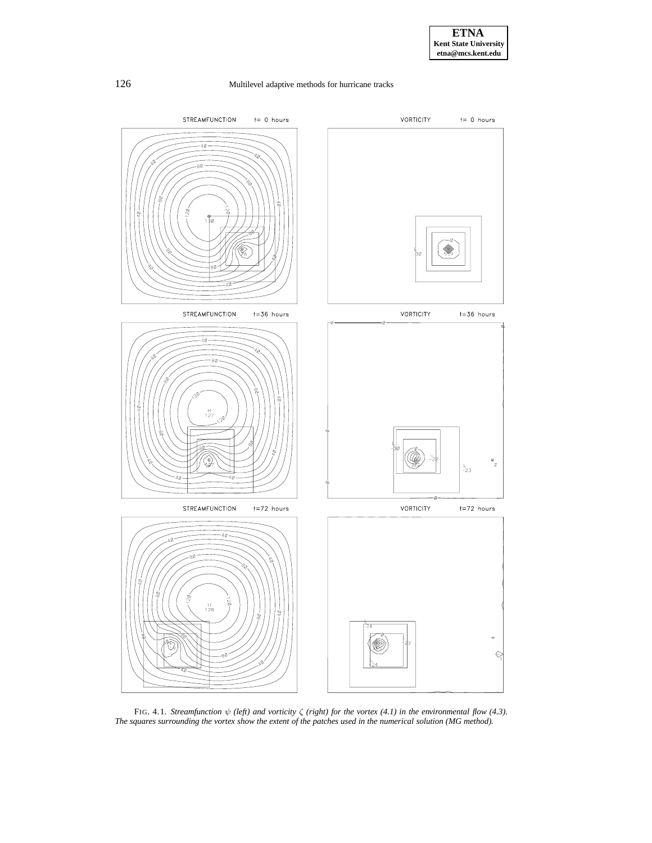

FIG. 4.1. *Streamfunction* ψ *(left) and vorticity* ζ *(right) for the vortex (4.1) in the environmental flow (4.3). The squares surrounding the vortex show the extent of the patches used in the numerical solution (MG method).*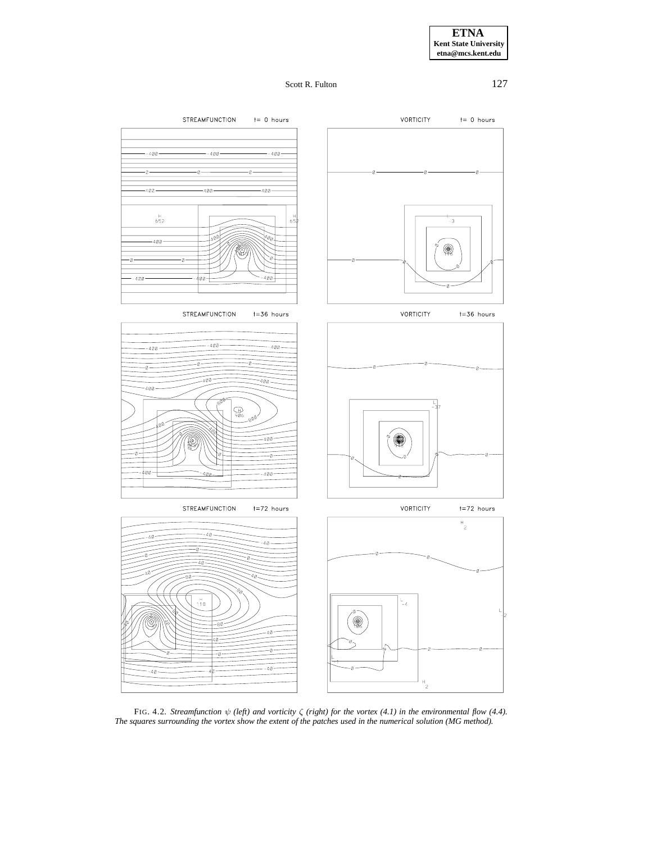**ETNA Kent State University etna@mcs.kent.edu**

Scott R. Fulton 127



FIG. 4.2. *Streamfunction* ψ *(left) and vorticity* ζ *(right) for the vortex (4.1) in the environmental flow (4.4). The squares surrounding the vortex show the extent of the patches used in the numerical solution (MG method).*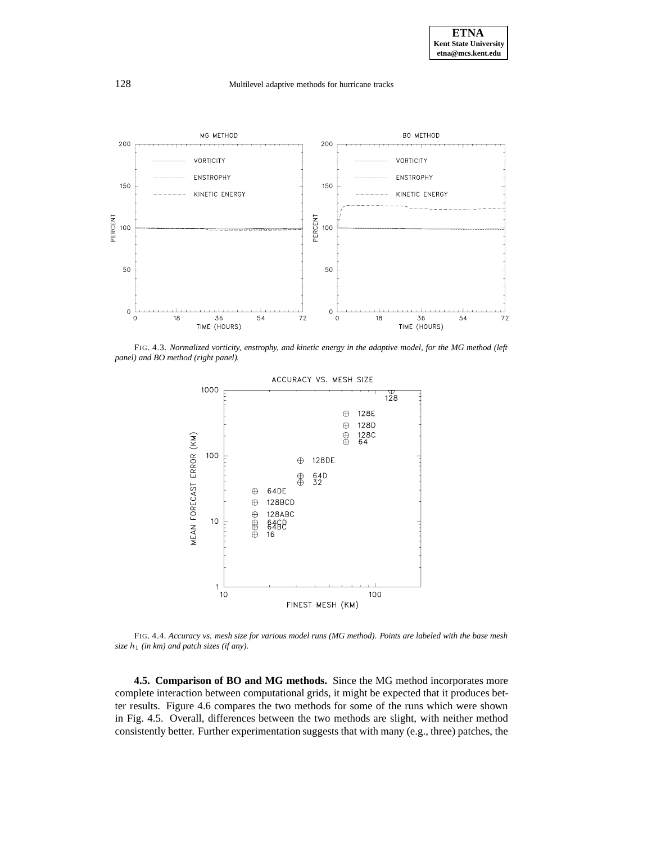

FIG. 4.3. *Normalized vorticity, enstrophy, and kinetic energy in the adaptive model, for the MG method (left panel) and BO method (right panel).*



FIG. 4.4. *Accuracy vs. mesh size for various model runs (MG method). Points are labeled with the base mesh*  $size h_1$  (in km) and patch sizes (if any).

**4.5. Comparison of BO and MG methods.** Since the MG method incorporates more complete interaction between computational grids, it might be expected that it produces better results. Figure 4.6 compares the two methods for some of the runs which were shown in Fig. 4.5. Overall, differences between the two methods are slight, with neither method consistently better. Further experimentation suggests that with many (e.g., three) patches, the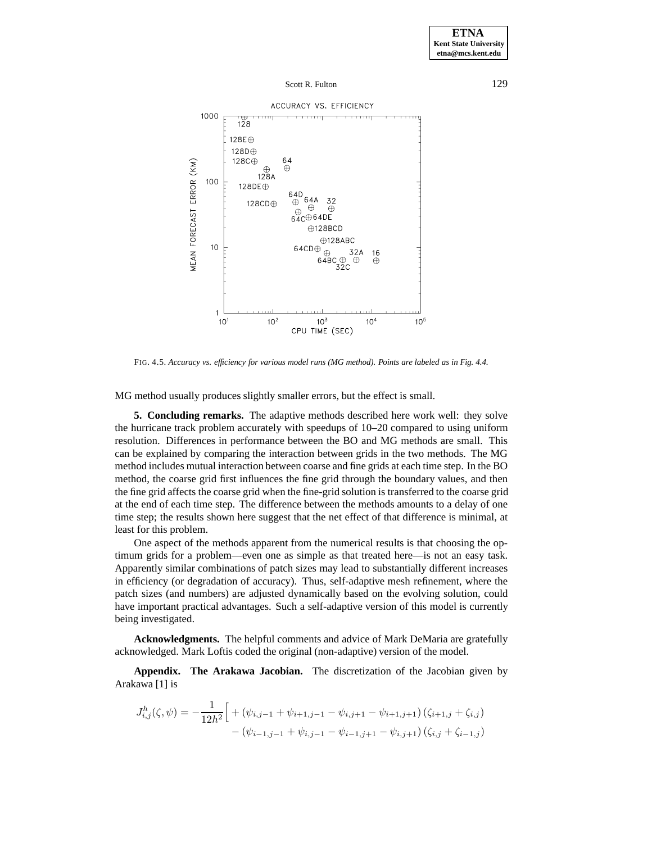

FIG. 4.5. *Accuracy vs. efficiency for various model runs (MG method). Points are labeled as in Fig. 4.4.*

MG method usually produces slightly smaller errors, but the effect is small.

**5. Concluding remarks.** The adaptive methods described here work well: they solve the hurricane track problem accurately with speedups of 10–20 compared to using uniform resolution. Differences in performance between the BO and MG methods are small. This can be explained by comparing the interaction between grids in the two methods. The MG method includes mutual interaction between coarse and fine grids at each time step. In the BO method, the coarse grid first influences the fine grid through the boundary values, and then the fine grid affects the coarse grid when the fine-grid solution is transferred to the coarse grid at the end of each time step. The difference between the methods amounts to a delay of one time step; the results shown here suggest that the net effect of that difference is minimal, at least for this problem.

One aspect of the methods apparent from the numerical results is that choosing the optimum grids for a problem—even one as simple as that treated here—is not an easy task. Apparently similar combinations of patch sizes may lead to substantially different increases in efficiency (or degradation of accuracy). Thus, self-adaptive mesh refinement, where the patch sizes (and numbers) are adjusted dynamically based on the evolving solution, could have important practical advantages. Such a self-adaptive version of this model is currently being investigated.

**Acknowledgments.** The helpful comments and advice of Mark DeMaria are gratefully acknowledged. Mark Loftis coded the original (non-adaptive) version of the model.

**Appendix. The Arakawa Jacobian.** The discretization of the Jacobian given by Arakawa [1] is

$$
J_{i,j}^h(\zeta, \psi) = -\frac{1}{12h^2} \Big[ + (\psi_{i,j-1} + \psi_{i+1,j-1} - \psi_{i,j+1} - \psi_{i+1,j+1}) (\zeta_{i+1,j} + \zeta_{i,j}) - (\psi_{i-1,j-1} + \psi_{i,j-1} - \psi_{i-1,j+1} - \psi_{i,j+1}) (\zeta_{i,j} + \zeta_{i-1,j}) \Big]
$$

**ETNA Kent State University**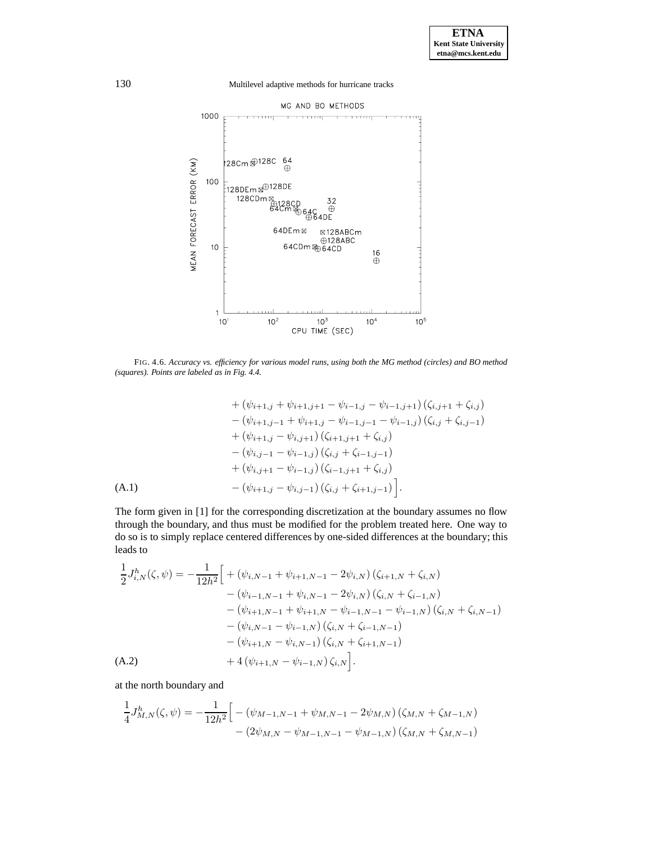130 Multilevel adaptive methods for hurricane tracks



FIG. 4.6. *Accuracy vs. efficiency for various model runs, using both the MG method (circles) and BO method (squares). Points are labeled as in Fig. 4.4.*

$$
+ (\psi_{i+1,j} + \psi_{i+1,j+1} - \psi_{i-1,j} - \psi_{i-1,j+1}) (\zeta_{i,j+1} + \zeta_{i,j})
$$
  
\n
$$
- (\psi_{i+1,j-1} + \psi_{i+1,j} - \psi_{i-1,j-1} - \psi_{i-1,j}) (\zeta_{i,j} + \zeta_{i,j-1})
$$
  
\n
$$
+ (\psi_{i+1,j} - \psi_{i,j+1}) (\zeta_{i+1,j+1} + \zeta_{i,j})
$$
  
\n
$$
- (\psi_{i,j-1} - \psi_{i-1,j}) (\zeta_{i,j} + \zeta_{i-1,j-1})
$$
  
\n
$$
+ (\psi_{i,j+1} - \psi_{i-1,j}) (\zeta_{i-1,j+1} + \zeta_{i,j})
$$
  
\n(A.1) 
$$
- (\psi_{i+1,j} - \psi_{i,j-1}) (\zeta_{i,j} + \zeta_{i+1,j-1})
$$
.

The form given in [1] for the corresponding discretization at the boundary assumes no flow through the boundary, and thus must be modified for the problem treated here. One way to do so is to simply replace centered differences by one-sided differences at the boundary; this leads to

$$
\frac{1}{2}J_{i,N}^{h}(\zeta,\psi) = -\frac{1}{12h^{2}} \Big[ + (\psi_{i,N-1} + \psi_{i+1,N-1} - 2\psi_{i,N}) (\zeta_{i+1,N} + \zeta_{i,N}) \n- (\psi_{i-1,N-1} + \psi_{i,N-1} - 2\psi_{i,N}) (\zeta_{i,N} + \zeta_{i-1,N}) \n- (\psi_{i+1,N-1} + \psi_{i+1,N} - \psi_{i-1,N-1} - \psi_{i-1,N}) (\zeta_{i,N} + \zeta_{i,N-1}) \n- (\psi_{i,N-1} - \psi_{i-1,N}) (\zeta_{i,N} + \zeta_{i-1,N-1}) \n- (\psi_{i+1,N} - \psi_{i,N-1}) (\zeta_{i,N} + \zeta_{i+1,N-1}) \n+ 4 (\psi_{i+1,N} - \psi_{i-1,N}) \zeta_{i,N} \Big].
$$

at the north boundary and

$$
\frac{1}{4}J_{M,N}^{h}(\zeta,\psi) = -\frac{1}{12h^{2}} \Big[ -(\psi_{M-1,N-1} + \psi_{M,N-1} - 2\psi_{M,N}) (\zeta_{M,N} + \zeta_{M-1,N}) - (2\psi_{M,N} - \psi_{M-1,N-1} - \psi_{M-1,N}) (\zeta_{M,N} + \zeta_{M,N-1}) \Big]
$$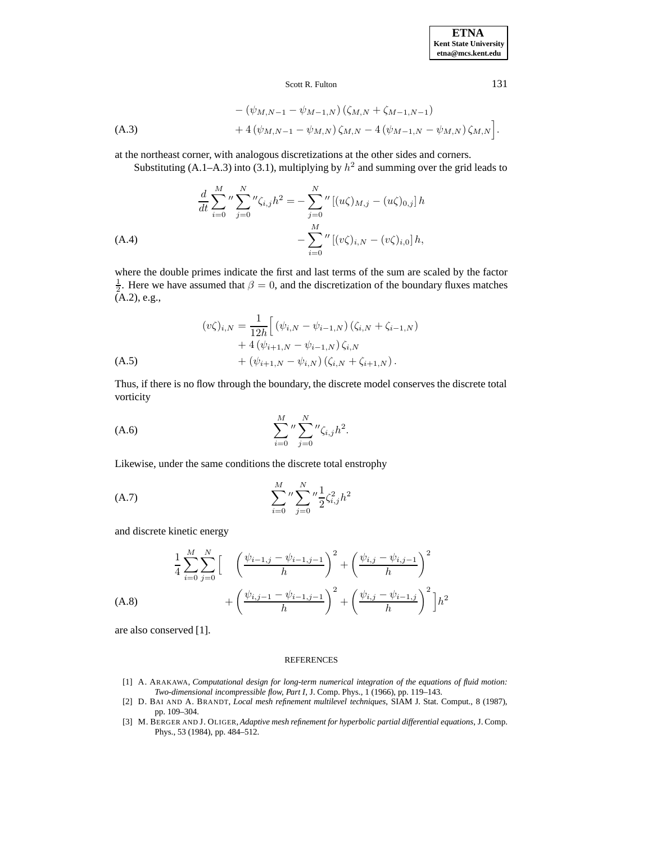**ETNA Kent State University etna@mcs.kent.edu**

## Scott R. Fulton 131

$$
-(\psi_{M,N-1} - \psi_{M-1,N})(\zeta_{M,N} + \zeta_{M-1,N-1})+ 4(\psi_{M,N-1} - \psi_{M,N})\zeta_{M,N} - 4(\psi_{M-1,N} - \psi_{M,N})\zeta_{M,N}.
$$

at the northeast corner, with analogous discretizations at the other sides and corners.

Substituting (A.1–A.3) into (3.1), multiplying by  $h^2$  and summing over the grid leads to

$$
\frac{d}{dt} \sum_{i=0}^{M} \int_{j=0}^{N} \int_{j=0}^{N} \zeta_{i,j} h^{2} = -\sum_{j=0}^{N} \int_{j=0}^{N} [(u\zeta)_{M,j} - (u\zeta)_{0,j}] h
$$
\n(A.4)\n
$$
-\sum_{i=0}^{M} \int_{j=0}^{N} [(v\zeta)_{i,N} - (v\zeta)_{i,0}] h,
$$

where the double primes indicate the first and last terms of the sum are scaled by the factor  $\frac{1}{2}$ . Here we have assumed that  $\beta = 0$ , and the discretization of the boundary fluxes matches (A.2), e.g.,

$$
(v\zeta)_{i,N} = \frac{1}{12h} \Big[ \left( \psi_{i,N} - \psi_{i-1,N} \right) \left( \zeta_{i,N} + \zeta_{i-1,N} \right) + 4 \left( \psi_{i+1,N} - \psi_{i-1,N} \right) \zeta_{i,N} + \left( \psi_{i+1,N} - \psi_{i,N} \right) \left( \zeta_{i,N} + \zeta_{i+1,N} \right).
$$
\n(A.5)

Thus, if there is no flow through the boundary, the discrete model conserves the discrete total vorticity

(A.6) 
$$
\sum_{i=0}^{M} \int_{j=0}^{N} \sum_{j=0}^{N} \mu \zeta_{i,j} h^2.
$$

Likewise, under the same conditions the discrete total enstrophy

(A.7) 
$$
\sum_{i=0}^{M} \frac{N}{j=0} \sum_{j=0}^{N} \frac{1}{2} \zeta_{i,j}^2 h^2
$$

and discrete kinetic energy

$$
\frac{1}{4} \sum_{i=0}^{M} \sum_{j=0}^{N} \left[ \begin{array}{c} \left( \frac{\psi_{i-1,j} - \psi_{i-1,j-1}}{h} \right)^2 + \left( \frac{\psi_{i,j} - \psi_{i,j-1}}{h} \right)^2 \\ + \left( \frac{\psi_{i,j-1} - \psi_{i-1,j-1}}{h} \right)^2 + \left( \frac{\psi_{i,j} - \psi_{i-1,j}}{h} \right)^2 \right] h^2 \end{array} \right]
$$
\n(A.8)

are also conserved [1].

#### REFERENCES

- [1] A. ARAKAWA, *Computational design for long-term numerical integration of the equations of fluid motion: Two-dimensional incompressible flow, Part I*, J. Comp. Phys., 1 (1966), pp. 119–143.
- [2] D. BAI AND A. BRANDT, *Local mesh refinement multilevel techniques*, SIAM J. Stat. Comput., 8 (1987), pp. 109–304.
- [3] M. BERGER AND J. OLIGER, *Adaptive mesh refinement for hyperbolic partial differential equations*, J. Comp. Phys., 53 (1984), pp. 484–512.